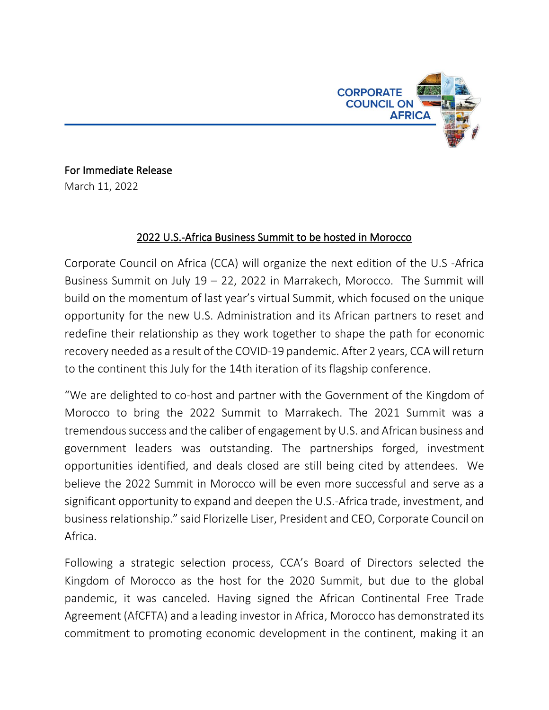

For Immediate Release March 11, 2022

## 2022 U.S.-Africa Business Summit to be hosted in Morocco

Corporate Council on Africa (CCA) will organize the next edition of the U.S -Africa Business Summit on July 19 – 22, 2022 in Marrakech, Morocco. The Summit will build on the momentum of last year's virtual Summit, which focused on the unique opportunity for the new U.S. Administration and its African partners to reset and redefine their relationship as they work together to shape the path for economic recovery needed as a result of the COVID-19 pandemic. After 2 years, CCAwill return to the continent this July for the 14th iteration of its flagship conference.

"We are delighted to co-host and partner with the Government of the Kingdom of Morocco to bring the 2022 Summit to Marrakech. The 2021 Summit was a tremendous success and the caliber of engagement by U.S. and African business and government leaders was outstanding. The partnerships forged, investment opportunities identified, and deals closed are still being cited by attendees. We believe the 2022 Summit in Morocco will be even more successful and serve as a significant opportunity to expand and deepen the U.S.-Africa trade, investment, and business relationship." said Florizelle Liser, President and CEO, Corporate Council on Africa.

Following a strategic selection process, CCA's Board of Directors selected the Kingdom of Morocco as the host for the 2020 Summit, but due to the global pandemic, it was canceled. Having signed the African Continental Free Trade Agreement (AfCFTA) and a leading investor in Africa, Morocco has demonstrated its commitment to promoting economic development in the continent, making it an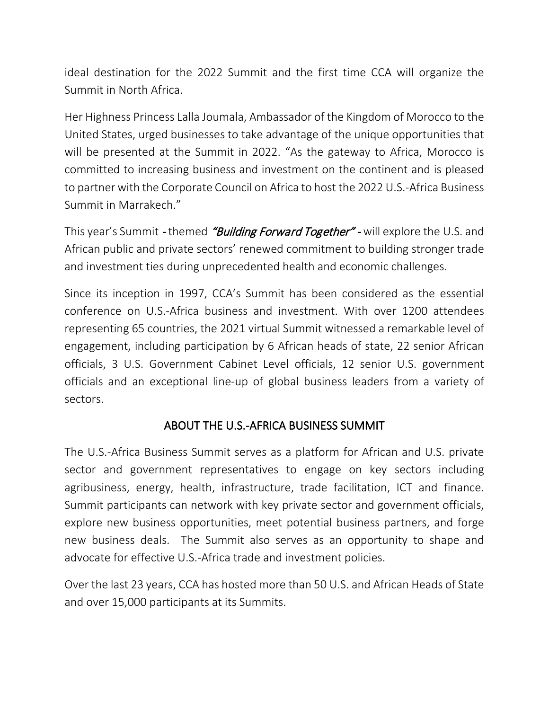ideal destination for the 2022 Summit and the first time CCA will organize the Summit in North Africa.

Her Highness Princess Lalla Joumala, Ambassador of the Kingdom of Morocco to the United States, urged businesses to take advantage of the unique opportunities that will be presented at the Summit in 2022. "As the gateway to Africa, Morocco is committed to increasing business and investment on the continent and is pleased to partner with the Corporate Council on Africa to host the 2022 U.S.-Africa Business Summit in Marrakech."

This year's Summit - themed "Building Forward Together" - will explore the U.S. and African public and private sectors' renewed commitment to building stronger trade and investment ties during unprecedented health and economic challenges.

Since its inception in 1997, CCA's Summit has been considered as the essential conference on U.S.-Africa business and investment. With over 1200 attendees representing 65 countries, the 2021 virtual Summit witnessed a remarkable level of engagement, including participation by 6 African heads of state, 22 senior African officials, 3 U.S. Government Cabinet Level officials, 12 senior U.S. government officials and an exceptional line-up of global business leaders from a variety of sectors.

## ABOUT THE U.S.-AFRICA BUSINESS SUMMIT

The U.S.-Africa Business Summit serves as a platform for African and U.S. private sector and government representatives to engage on key sectors including agribusiness, energy, health, infrastructure, trade facilitation, ICT and finance. Summit participants can network with key private sector and government officials, explore new business opportunities, meet potential business partners, and forge new business deals. The Summit also serves as an opportunity to shape and advocate for effective U.S.-Africa trade and investment policies.

Over the last 23 years, CCA has hosted more than 50 U.S. and African Heads of State and over 15,000 participants at its Summits.